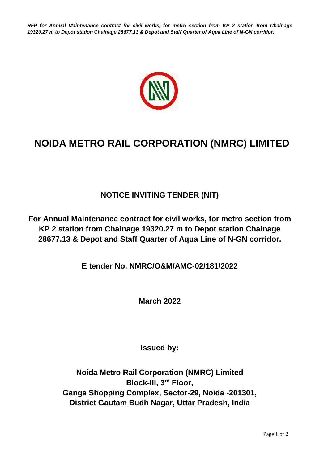*RFP for Annual Maintenance contract for civil works, for metro section from KP 2 station from Chainage 19320.27 m to Depot station Chainage 28677.13 & Depot and Staff Quarter of Aqua Line of N-GN corridor.*



## **NOIDA METRO RAIL CORPORATION (NMRC) LIMITED**

## **NOTICE INVITING TENDER (NIT)**

**For Annual Maintenance contract for civil works, for metro section from KP 2 station from Chainage 19320.27 m to Depot station Chainage 28677.13 & Depot and Staff Quarter of Aqua Line of N-GN corridor.**

**E tender No. NMRC/O&M/AMC-02/181/2022**

**March 2022**

**Issued by:**

**Noida Metro Rail Corporation (NMRC) Limited Block-III, 3rd Floor, Ganga Shopping Complex, Sector-29, Noida -201301, District Gautam Budh Nagar, Uttar Pradesh, India**